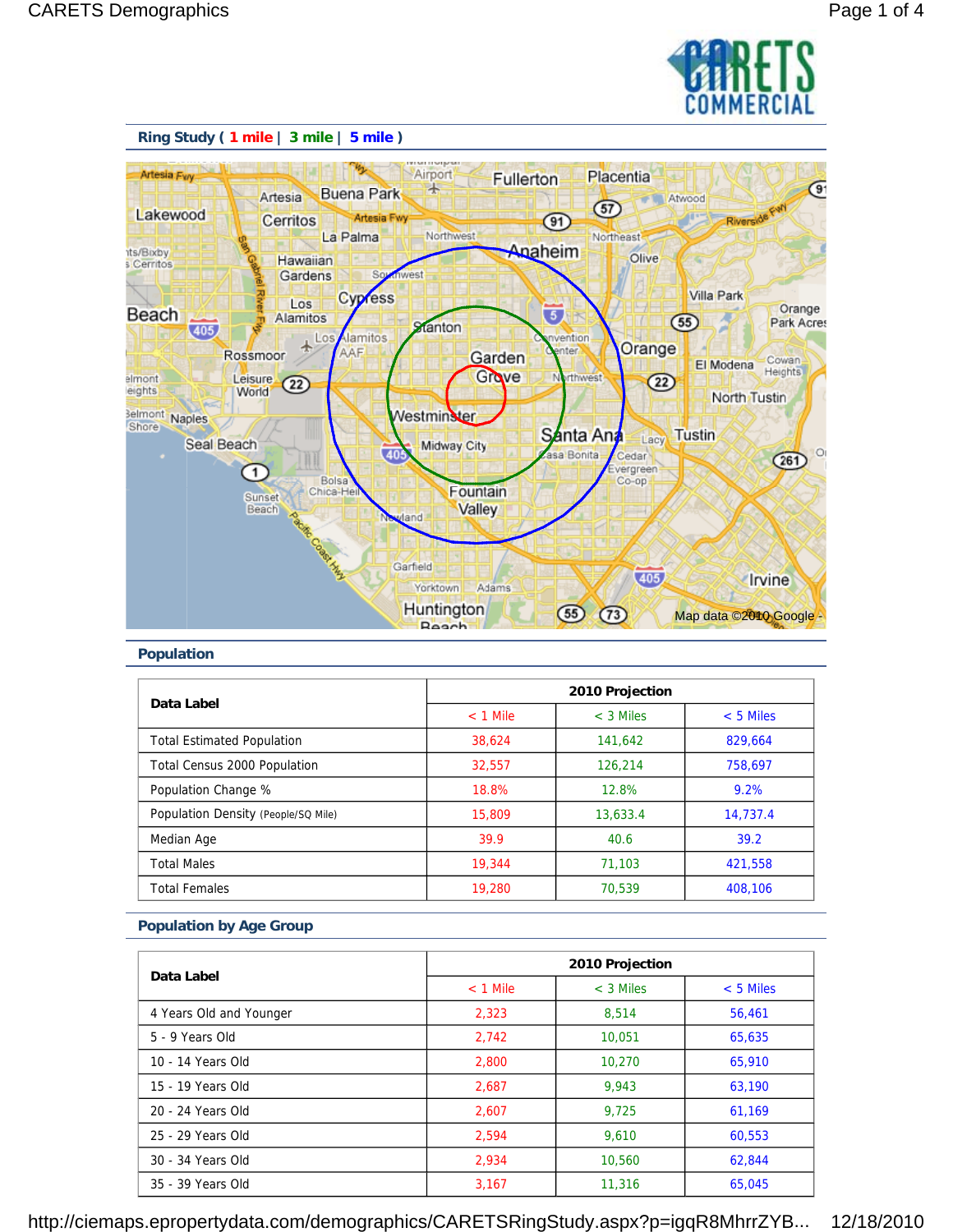



#### **Population**

| Data Label                          | 2010 Projection |             |             |
|-------------------------------------|-----------------|-------------|-------------|
|                                     | $<$ 1 Mile      | $<$ 3 Miles | $< 5$ Miles |
| <b>Total Estimated Population</b>   | 38.624          | 141,642     | 829.664     |
| <b>Total Census 2000 Population</b> | 32.557          | 126,214     | 758.697     |
| Population Change %                 | 18.8%           | 12.8%       | 9.2%        |
| Population Density (People/SQ Mile) | 15,809          | 13,633.4    | 14.737.4    |
| Median Age                          | 39.9            | 40.6        | 39.2        |
| <b>Total Males</b>                  | 19,344          | 71.103      | 421.558     |
| <b>Total Females</b>                | 19,280          | 70.539      | 408.106     |

#### **Population by Age Group**

| Data Label              |            | 2010 Projection |             |  |
|-------------------------|------------|-----------------|-------------|--|
|                         | $<$ 1 Mile | $<$ 3 Miles     | $< 5$ Miles |  |
| 4 Years Old and Younger | 2,323      | 8.514           | 56.461      |  |
| 5 - 9 Years Old         | 2,742      | 10.051          | 65,635      |  |
| 10 - 14 Years Old       | 2,800      | 10,270          | 65,910      |  |
| 15 - 19 Years Old       | 2,687      | 9.943           | 63,190      |  |
| 20 - 24 Years Old       | 2.607      | 9.725           | 61.169      |  |
| 25 - 29 Years Old       | 2,594      | 9.610           | 60,553      |  |
| 30 - 34 Years Old       | 2.934      | 10,560          | 62.844      |  |
| 35 - 39 Years Old       | 3,167      | 11,316          | 65,045      |  |

http://ciemaps.epropertydata.com/demographics/CARETSRingStudy.aspx?p=igqR8MhrrZYB... 12/18/2010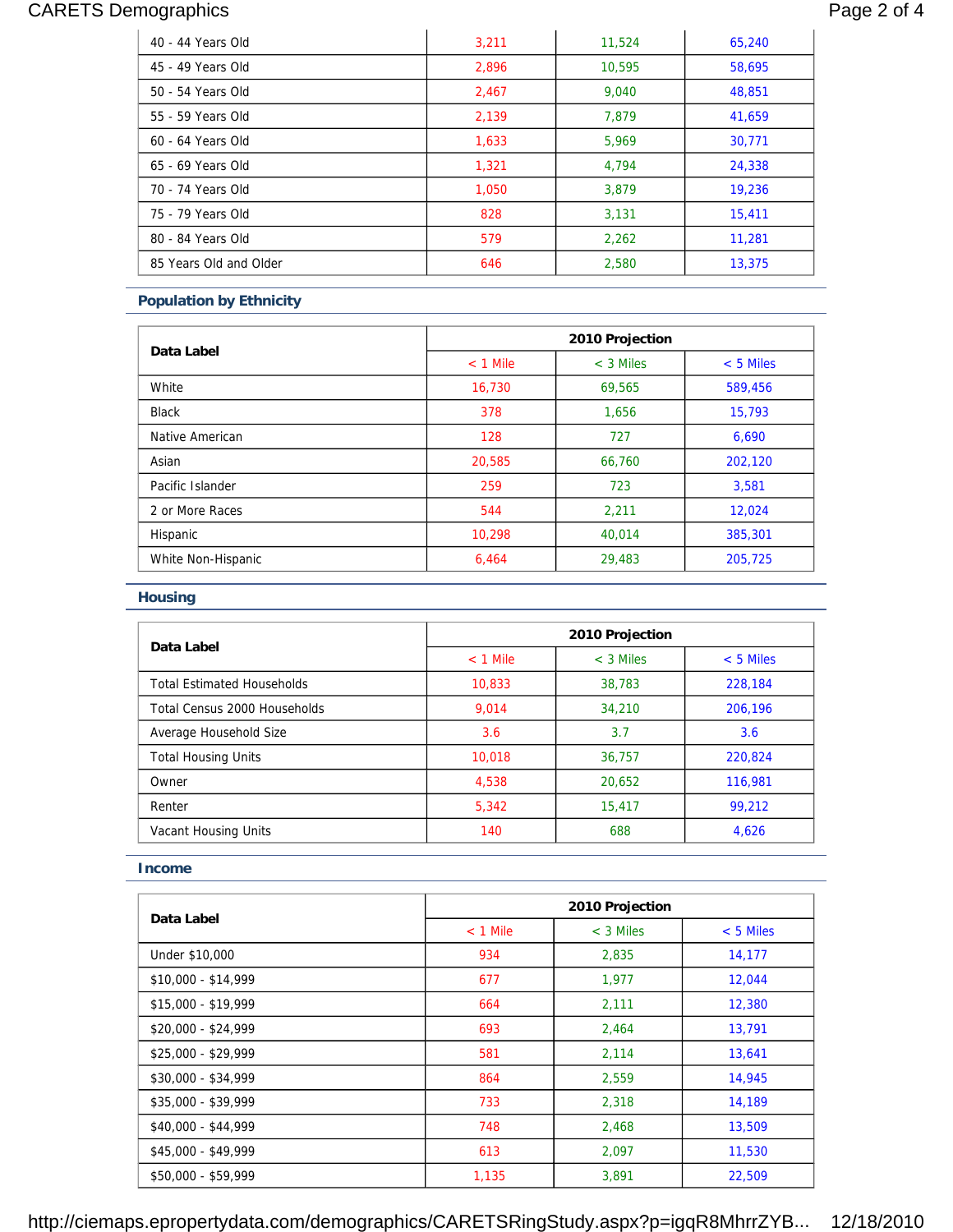# CARETS Demographics **Page 2 of 4**

| 40 - 44 Years Old      | 3,211 | 11,524 | 65,240 |
|------------------------|-------|--------|--------|
| 45 - 49 Years Old      | 2,896 | 10.595 | 58,695 |
| 50 - 54 Years Old      | 2,467 | 9,040  | 48,851 |
| 55 - 59 Years Old      | 2.139 | 7.879  | 41,659 |
| 60 - 64 Years Old      | 1,633 | 5.969  | 30,771 |
| 65 - 69 Years Old      | 1,321 | 4.794  | 24,338 |
| 70 - 74 Years Old      | 1,050 | 3,879  | 19,236 |
| 75 - 79 Years Old      | 828   | 3,131  | 15,411 |
| 80 - 84 Years Old      | 579   | 2.262  | 11.281 |
| 85 Years Old and Older | 646   | 2,580  | 13,375 |

### **Population by Ethnicity**

| Data Label         | 2010 Projection |             |             |
|--------------------|-----------------|-------------|-------------|
|                    | $<$ 1 Mile      | $<$ 3 Miles | $< 5$ Miles |
| White              | 16,730          | 69,565      | 589,456     |
| <b>Black</b>       | 378             | 1,656       | 15,793      |
| Native American    | 128             | 727         | 6,690       |
| Asian              | 20.585          | 66.760      | 202,120     |
| Pacific Islander   | 259             | 723         | 3,581       |
| 2 or More Races    | 544             | 2,211       | 12,024      |
| Hispanic           | 10,298          | 40.014      | 385,301     |
| White Non-Hispanic | 6,464           | 29,483      | 205,725     |

### **Housing**

| Data Label                        | 2010 Projection |             |             |
|-----------------------------------|-----------------|-------------|-------------|
|                                   | $<$ 1 Mile      | $<$ 3 Miles | $< 5$ Miles |
| <b>Total Estimated Households</b> | 10.833          | 38.783      | 228,184     |
| Total Census 2000 Households      | 9.014           | 34,210      | 206.196     |
| Average Household Size            | 3.6             | 3.7         | 3.6         |
| <b>Total Housing Units</b>        | 10,018          | 36.757      | 220.824     |
| Owner                             | 4,538           | 20.652      | 116.981     |
| Renter                            | 5,342           | 15.417      | 99,212      |
| Vacant Housing Units              | 140             | 688         | 4.626       |

#### **Income**

|                     |            | 2010 Projection |             |  |
|---------------------|------------|-----------------|-------------|--|
| Data Label          | $<$ 1 Mile | $<$ 3 Miles     | $< 5$ Miles |  |
| Under \$10,000      | 934        | 2,835           | 14,177      |  |
| \$10,000 - \$14,999 | 677        | 1,977           | 12,044      |  |
| \$15,000 - \$19,999 | 664        | 2,111           | 12,380      |  |
| $$20,000 - $24,999$ | 693        | 2,464           | 13,791      |  |
| \$25,000 - \$29,999 | 581        | 2,114           | 13,641      |  |
| \$30,000 - \$34,999 | 864        | 2,559           | 14,945      |  |
| \$35,000 - \$39,999 | 733        | 2,318           | 14,189      |  |
| $$40.000 - $44.999$ | 748        | 2,468           | 13,509      |  |
| \$45,000 - \$49,999 | 613        | 2,097           | 11,530      |  |
| \$50,000 - \$59,999 | 1,135      | 3.891           | 22,509      |  |

http://ciemaps.epropertydata.com/demographics/CARETSRingStudy.aspx?p=igqR8MhrrZYB... 12/18/2010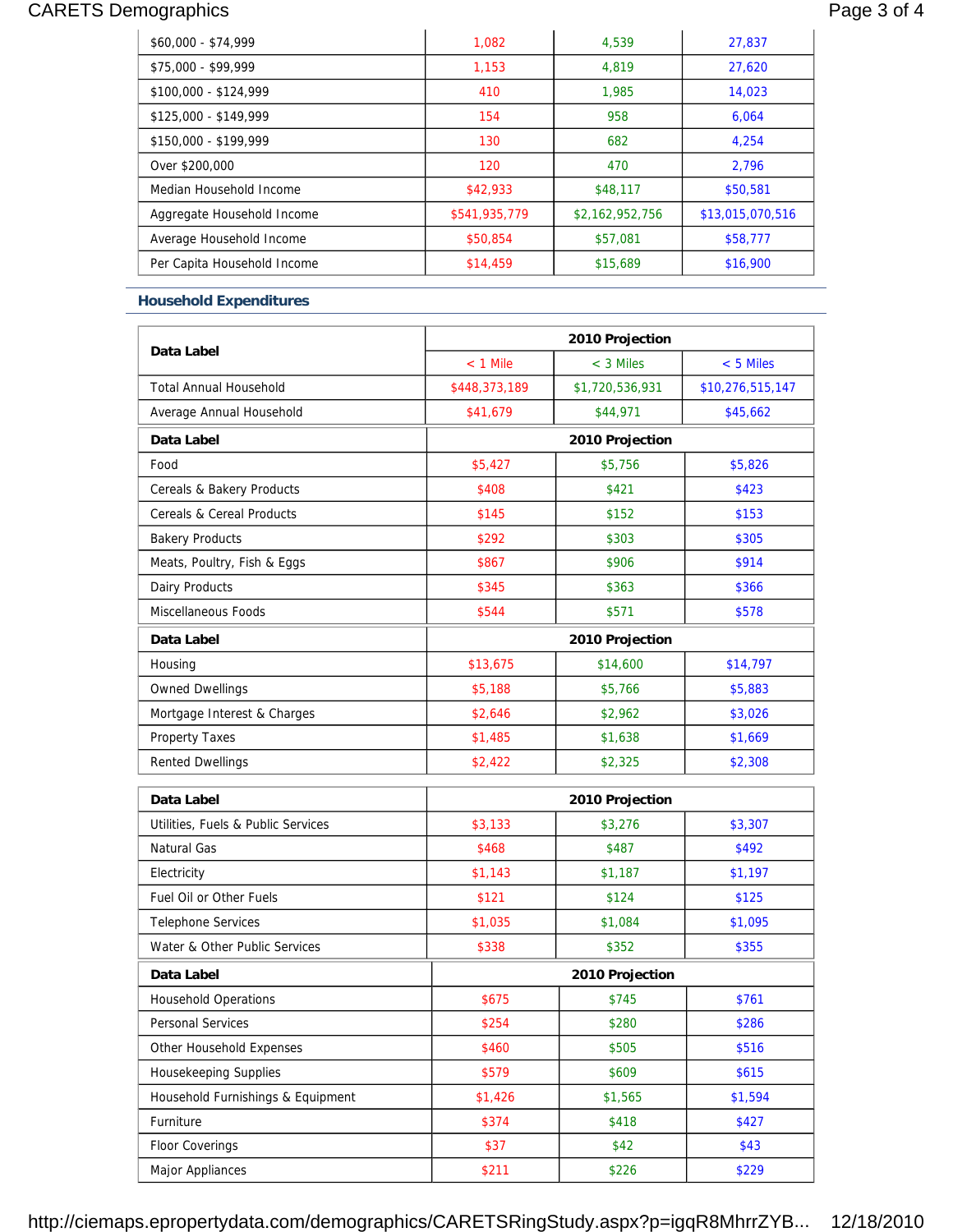# CARETS Demographics **Page 3 of 4**

| $$60,000 - $74,999$         | 1.082         | 4.539           | 27.837           |
|-----------------------------|---------------|-----------------|------------------|
| \$75,000 - \$99,999         | 1.153         | 4.819           | 27.620           |
| \$100,000 - \$124,999       | 410           | 1.985           | 14,023           |
| \$125,000 - \$149,999       | 154           | 958             | 6.064            |
| \$150,000 - \$199,999       | 130           | 682             | 4.254            |
| Over \$200,000              | 120           | 470             | 2.796            |
| Median Household Income     | \$42,933      | \$48,117        | \$50,581         |
| Aggregate Household Income  | \$541,935,779 | \$2,162,952,756 | \$13,015,070,516 |
| Average Household Income    | \$50,854      | \$57,081        | \$58,777         |
| Per Capita Household Income | \$14,459      | \$15,689        | \$16,900         |

### **Household Expenditures**

| Data Label                         | 2010 Projection |                 |                  |  |
|------------------------------------|-----------------|-----------------|------------------|--|
|                                    | $<$ 1 Mile      | $<$ 3 Miles     | $< 5$ Miles      |  |
| <b>Total Annual Household</b>      | \$448,373,189   | \$1,720,536,931 | \$10,276,515,147 |  |
| Average Annual Household           | \$41,679        | \$44,971        | \$45,662         |  |
| Data Label                         |                 | 2010 Projection |                  |  |
| Food                               | \$5,427         | \$5,756         | \$5,826          |  |
| Cereals & Bakery Products          | \$408           | \$421           | \$423            |  |
| Cereals & Cereal Products          | \$145           | \$152           | \$153            |  |
| <b>Bakery Products</b>             | \$292           | \$303           | \$305            |  |
| Meats, Poultry, Fish & Eggs        | \$867           | \$906           | \$914            |  |
| Dairy Products                     | \$345           | \$363           | \$366            |  |
| Miscellaneous Foods                | \$544           | \$571           | \$578            |  |
| Data Label                         |                 | 2010 Projection |                  |  |
| Housing                            | \$13,675        | \$14,600        | \$14,797         |  |
| <b>Owned Dwellings</b>             | \$5,188         | \$5,766         | \$5,883          |  |
| Mortgage Interest & Charges        | \$2,646         | \$2,962         | \$3,026          |  |
| <b>Property Taxes</b>              | \$1,485         | \$1,638         | \$1,669          |  |
| <b>Rented Dwellings</b>            | \$2,422         | \$2,325         | \$2,308          |  |
| Data Label                         |                 | 2010 Projection |                  |  |
| Utilities, Fuels & Public Services | \$3,133         | \$3,276         | \$3,307          |  |
| Natural Gas                        | \$468           | \$487           | \$492            |  |
| Electricity                        | \$1,143         | \$1,187         | \$1,197          |  |
| Fuel Oil or Other Fuels            | \$121           | \$124           | \$125            |  |
| <b>Telephone Services</b>          | \$1,035         | \$1,084         | \$1,095          |  |
| Water & Other Public Services      | \$338           | \$352           | \$355            |  |
| Data Label                         |                 | 2010 Projection |                  |  |
| <b>Household Operations</b>        | \$675           | \$745           | \$761            |  |
| Personal Services                  | \$254           | \$280           | \$286            |  |
| Other Household Expenses           | \$460           | \$505           | \$516            |  |
| <b>Housekeeping Supplies</b>       | \$579           | \$609           | \$615            |  |
| Household Furnishings & Equipment  | \$1,426         | \$1,565         | \$1,594          |  |
| Furniture                          | \$374           | \$418           | \$427            |  |
| <b>Floor Coverings</b>             | \$37            | \$42            | \$43             |  |
| Major Appliances                   | \$211           | \$226           | \$229            |  |

http://ciemaps.epropertydata.com/demographics/CARETSRingStudy.aspx?p=igqR8MhrrZYB... 12/18/2010